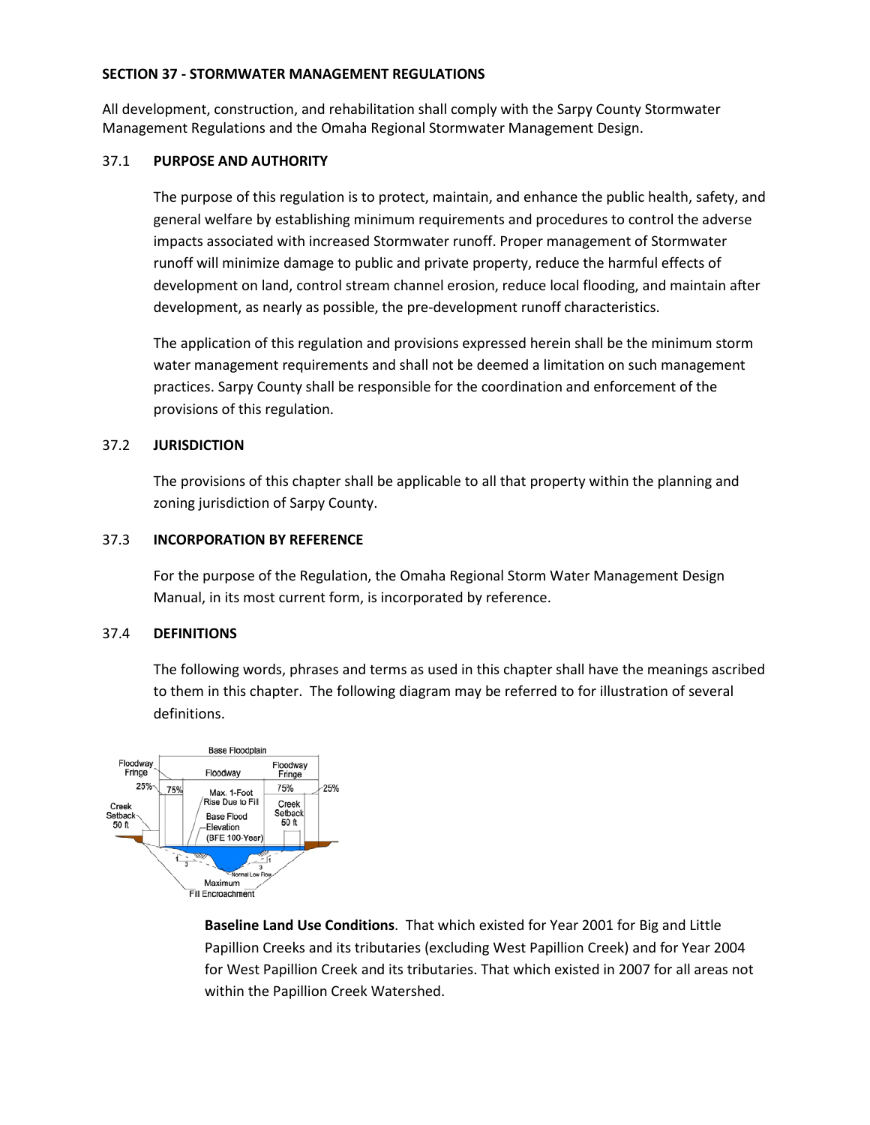#### **SECTION 37 - STORMWATER MANAGEMENT REGULATIONS**

All development, construction, and rehabilitation shall comply with the Sarpy County Stormwater Management Regulations and the Omaha Regional Stormwater Management Design.

#### 37.1 **PURPOSE AND AUTHORITY**

The purpose of this regulation is to protect, maintain, and enhance the public health, safety, and general welfare by establishing minimum requirements and procedures to control the adverse impacts associated with increased Stormwater runoff. Proper management of Stormwater runoff will minimize damage to public and private property, reduce the harmful effects of development on land, control stream channel erosion, reduce local flooding, and maintain after development, as nearly as possible, the pre-development runoff characteristics.

The application of this regulation and provisions expressed herein shall be the minimum storm water management requirements and shall not be deemed a limitation on such management practices. Sarpy County shall be responsible for the coordination and enforcement of the provisions of this regulation.

# 37.2 **JURISDICTION**

The provisions of this chapter shall be applicable to all that property within the planning and zoning jurisdiction of Sarpy County.

#### 37.3 **INCORPORATION BY REFERENCE**

For the purpose of the Regulation, the Omaha Regional Storm Water Management Design Manual, in its most current form, is incorporated by reference.

# 37.4 **DEFINITIONS**

The following words, phrases and terms as used in this chapter shall have the meanings ascribed to them in this chapter. The following diagram may be referred to for illustration of several definitions.



**Baseline Land Use Conditions**. That which existed for Year 2001 for Big and Little Papillion Creeks and its tributaries (excluding West Papillion Creek) and for Year 2004 for West Papillion Creek and its tributaries. That which existed in 2007 for all areas not within the Papillion Creek Watershed.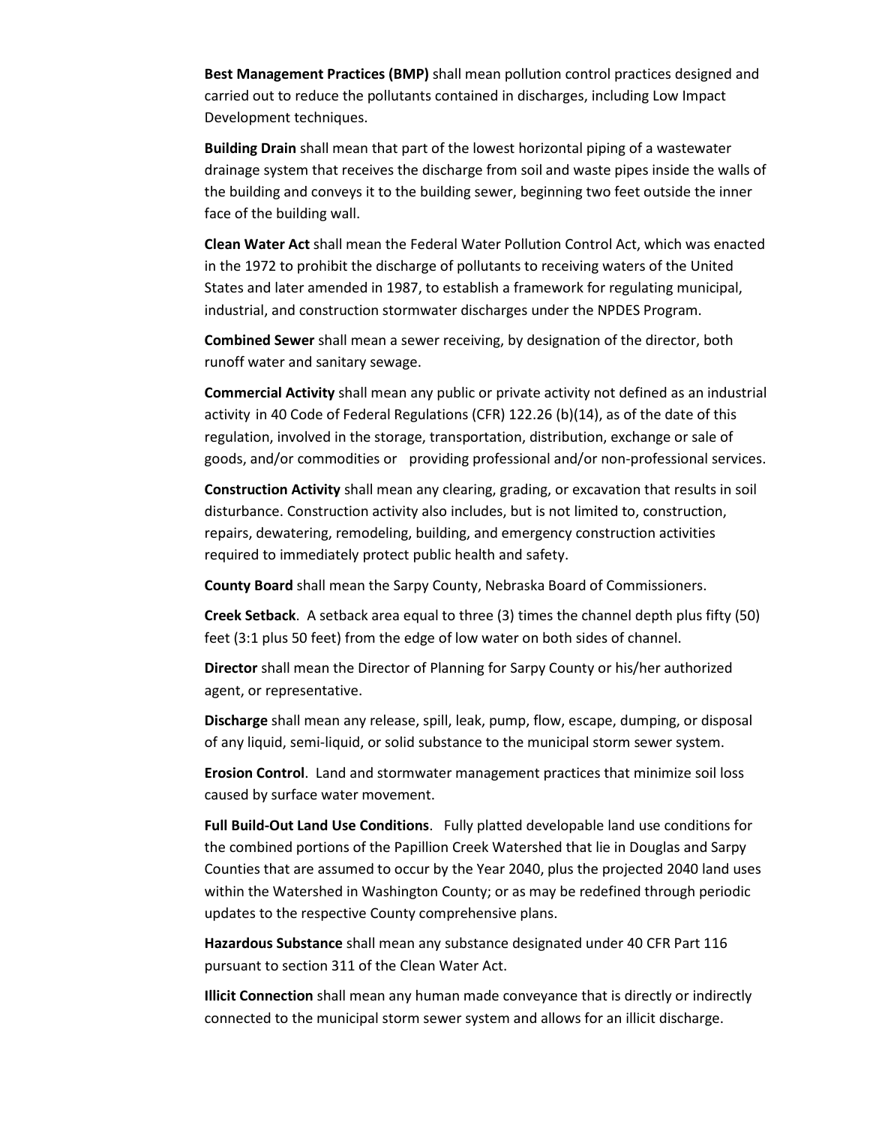**Best Management Practices (BMP)** shall mean pollution control practices designed and carried out to reduce the pollutants contained in discharges, including Low Impact Development techniques.

**Building Drain** shall mean that part of the lowest horizontal piping of a wastewater drainage system that receives the discharge from soil and waste pipes inside the walls of the building and conveys it to the building sewer, beginning two feet outside the inner face of the building wall.

**Clean Water Act** shall mean the Federal Water Pollution Control Act, which was enacted in the 1972 to prohibit the discharge of pollutants to receiving waters of the United States and later amended in 1987, to establish a framework for regulating municipal, industrial, and construction stormwater discharges under the NPDES Program.

**Combined Sewer** shall mean a sewer receiving, by designation of the director, both runoff water and sanitary sewage.

**Commercial Activity** shall mean any public or private activity not defined as an industrial activity in 40 Code of Federal Regulations (CFR) 122.26 (b)(14), as of the date of this regulation, involved in the storage, transportation, distribution, exchange or sale of goods, and/or commodities or providing professional and/or non-professional services.

**Construction Activity** shall mean any clearing, grading, or excavation that results in soil disturbance. Construction activity also includes, but is not limited to, construction, repairs, dewatering, remodeling, building, and emergency construction activities required to immediately protect public health and safety.

**County Board** shall mean the Sarpy County, Nebraska Board of Commissioners.

**Creek Setback**. A setback area equal to three (3) times the channel depth plus fifty (50) feet (3:1 plus 50 feet) from the edge of low water on both sides of channel.

**Director** shall mean the Director of Planning for Sarpy County or his/her authorized agent, or representative.

**Discharge** shall mean any release, spill, leak, pump, flow, escape, dumping, or disposal of any liquid, semi-liquid, or solid substance to the municipal storm sewer system.

**Erosion Control**. Land and stormwater management practices that minimize soil loss caused by surface water movement.

**Full Build-Out Land Use Conditions**. Fully platted developable land use conditions for the combined portions of the Papillion Creek Watershed that lie in Douglas and Sarpy Counties that are assumed to occur by the Year 2040, plus the projected 2040 land uses within the Watershed in Washington County; or as may be redefined through periodic updates to the respective County comprehensive plans.

**Hazardous Substance** shall mean any substance designated under 40 CFR Part 116 pursuant to section 311 of the Clean Water Act.

**Illicit Connection** shall mean any human made conveyance that is directly or indirectly connected to the municipal storm sewer system and allows for an illicit discharge.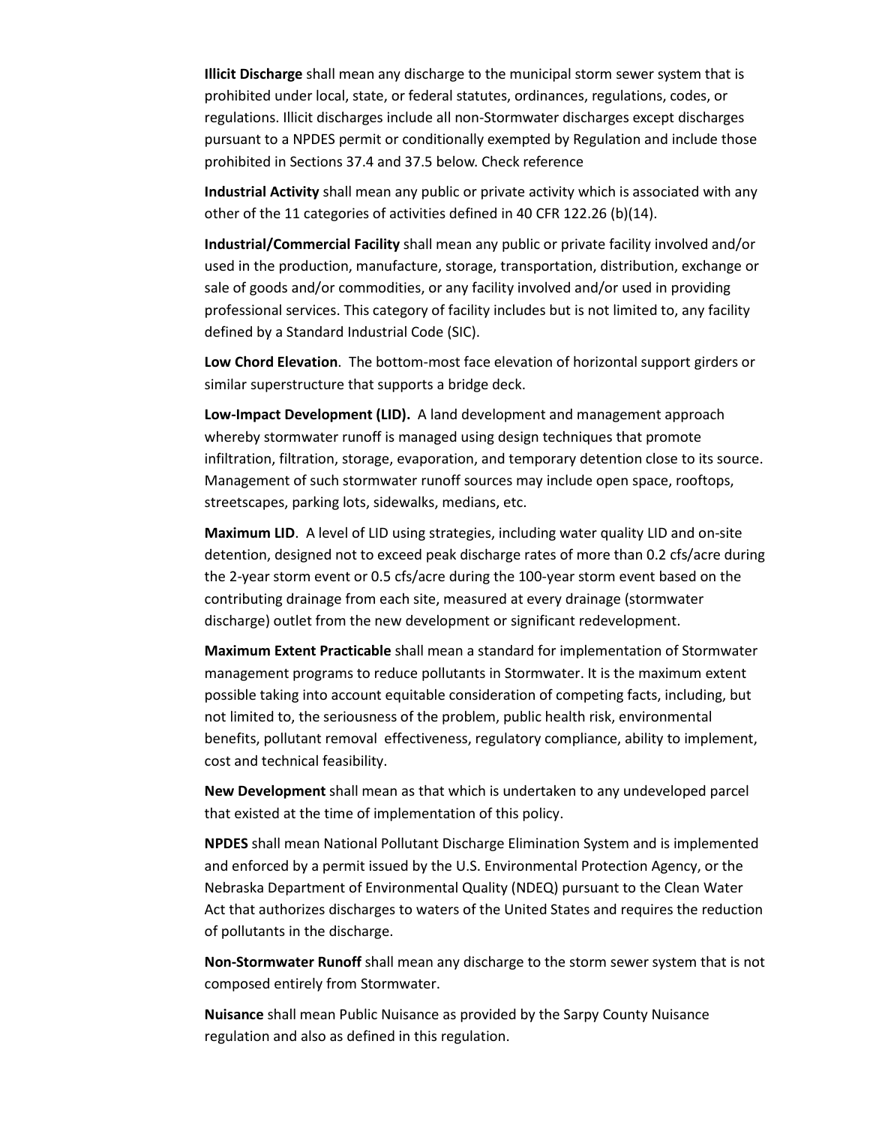**Illicit Discharge** shall mean any discharge to the municipal storm sewer system that is prohibited under local, state, or federal statutes, ordinances, regulations, codes, or regulations. Illicit discharges include all non-Stormwater discharges except discharges pursuant to a NPDES permit or conditionally exempted by Regulation and include those prohibited in Sections 37.4 and 37.5 below. Check reference

**Industrial Activity** shall mean any public or private activity which is associated with any other of the 11 categories of activities defined in 40 CFR 122.26 (b)(14).

**Industrial/Commercial Facility** shall mean any public or private facility involved and/or used in the production, manufacture, storage, transportation, distribution, exchange or sale of goods and/or commodities, or any facility involved and/or used in providing professional services. This category of facility includes but is not limited to, any facility defined by a Standard Industrial Code (SIC).

**Low Chord Elevation**. The bottom-most face elevation of horizontal support girders or similar superstructure that supports a bridge deck.

**Low-Impact Development (LID).** A land development and management approach whereby stormwater runoff is managed using design techniques that promote infiltration, filtration, storage, evaporation, and temporary detention close to its source. Management of such stormwater runoff sources may include open space, rooftops, streetscapes, parking lots, sidewalks, medians, etc.

**Maximum LID**. A level of LID using strategies, including water quality LID and on-site detention, designed not to exceed peak discharge rates of more than 0.2 cfs/acre during the 2-year storm event or 0.5 cfs/acre during the 100-year storm event based on the contributing drainage from each site, measured at every drainage (stormwater discharge) outlet from the new development or significant redevelopment.

**Maximum Extent Practicable** shall mean a standard for implementation of Stormwater management programs to reduce pollutants in Stormwater. It is the maximum extent possible taking into account equitable consideration of competing facts, including, but not limited to, the seriousness of the problem, public health risk, environmental benefits, pollutant removal effectiveness, regulatory compliance, ability to implement, cost and technical feasibility.

**New Development** shall mean as that which is undertaken to any undeveloped parcel that existed at the time of implementation of this policy.

**NPDES** shall mean National Pollutant Discharge Elimination System and is implemented and enforced by a permit issued by the U.S. Environmental Protection Agency, or the Nebraska Department of Environmental Quality (NDEQ) pursuant to the Clean Water Act that authorizes discharges to waters of the United States and requires the reduction of pollutants in the discharge.

**Non-Stormwater Runoff** shall mean any discharge to the storm sewer system that is not composed entirely from Stormwater.

**Nuisance** shall mean Public Nuisance as provided by the Sarpy County Nuisance regulation and also as defined in this regulation.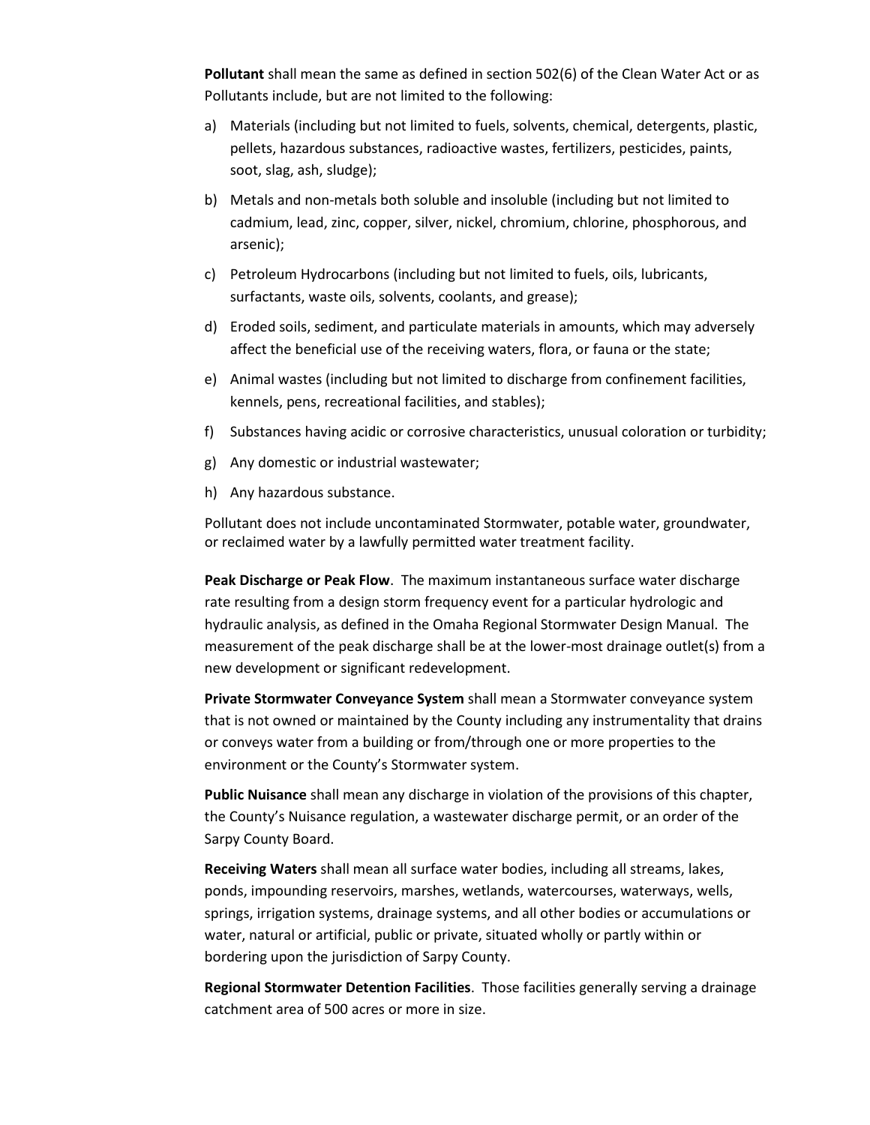**Pollutant** shall mean the same as defined in section 502(6) of the Clean Water Act or as Pollutants include, but are not limited to the following:

- a) Materials (including but not limited to fuels, solvents, chemical, detergents, plastic, pellets, hazardous substances, radioactive wastes, fertilizers, pesticides, paints, soot, slag, ash, sludge);
- b) Metals and non-metals both soluble and insoluble (including but not limited to cadmium, lead, zinc, copper, silver, nickel, chromium, chlorine, phosphorous, and arsenic);
- c) Petroleum Hydrocarbons (including but not limited to fuels, oils, lubricants, surfactants, waste oils, solvents, coolants, and grease);
- d) Eroded soils, sediment, and particulate materials in amounts, which may adversely affect the beneficial use of the receiving waters, flora, or fauna or the state;
- e) Animal wastes (including but not limited to discharge from confinement facilities, kennels, pens, recreational facilities, and stables);
- f) Substances having acidic or corrosive characteristics, unusual coloration or turbidity;
- g) Any domestic or industrial wastewater;
- h) Any hazardous substance.

Pollutant does not include uncontaminated Stormwater, potable water, groundwater, or reclaimed water by a lawfully permitted water treatment facility.

**Peak Discharge or Peak Flow**. The maximum instantaneous surface water discharge rate resulting from a design storm frequency event for a particular hydrologic and hydraulic analysis, as defined in the Omaha Regional Stormwater Design Manual. The measurement of the peak discharge shall be at the lower-most drainage outlet(s) from a new development or significant redevelopment.

**Private Stormwater Conveyance System** shall mean a Stormwater conveyance system that is not owned or maintained by the County including any instrumentality that drains or conveys water from a building or from/through one or more properties to the environment or the County's Stormwater system.

**Public Nuisance** shall mean any discharge in violation of the provisions of this chapter, the County's Nuisance regulation, a wastewater discharge permit, or an order of the Sarpy County Board.

**Receiving Waters** shall mean all surface water bodies, including all streams, lakes, ponds, impounding reservoirs, marshes, wetlands, watercourses, waterways, wells, springs, irrigation systems, drainage systems, and all other bodies or accumulations or water, natural or artificial, public or private, situated wholly or partly within or bordering upon the jurisdiction of Sarpy County.

**Regional Stormwater Detention Facilities**. Those facilities generally serving a drainage catchment area of 500 acres or more in size.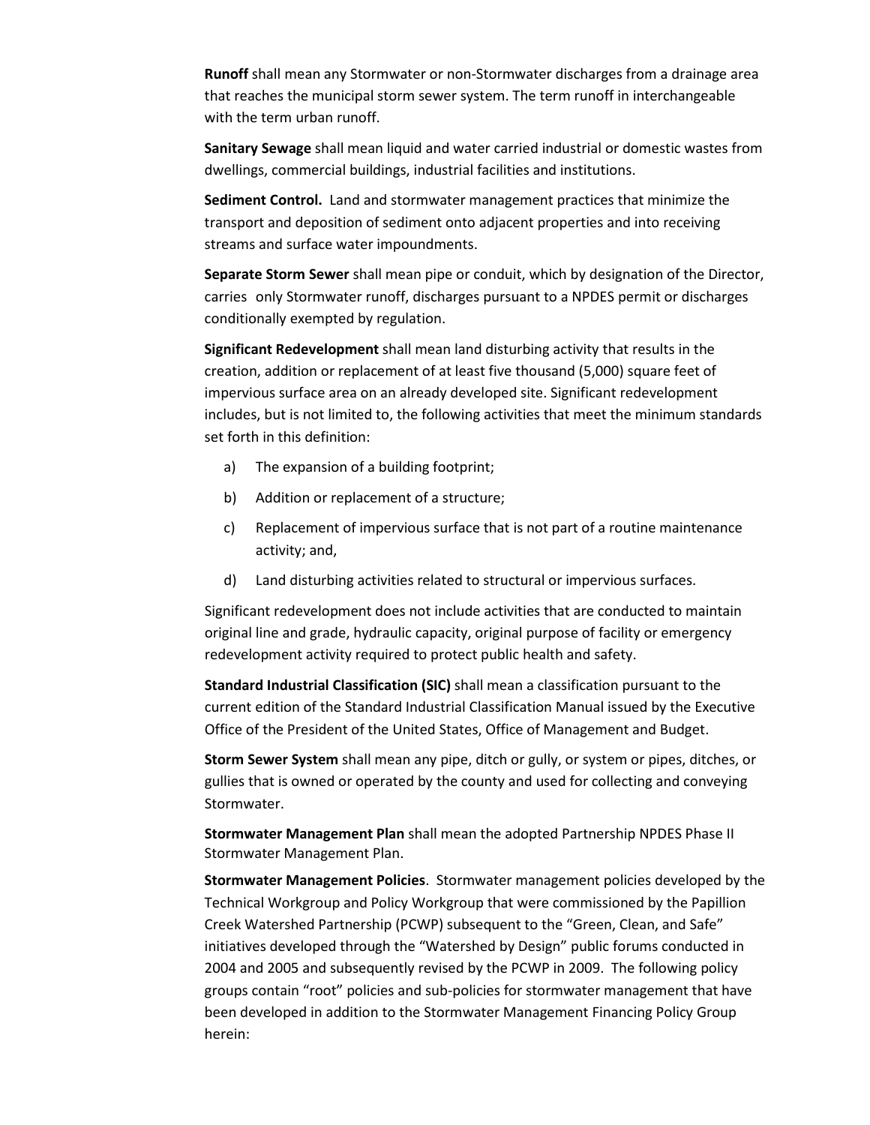**Runoff** shall mean any Stormwater or non-Stormwater discharges from a drainage area that reaches the municipal storm sewer system. The term runoff in interchangeable with the term urban runoff.

**Sanitary Sewage** shall mean liquid and water carried industrial or domestic wastes from dwellings, commercial buildings, industrial facilities and institutions.

**Sediment Control.** Land and stormwater management practices that minimize the transport and deposition of sediment onto adjacent properties and into receiving streams and surface water impoundments.

**Separate Storm Sewer** shall mean pipe or conduit, which by designation of the Director, carries only Stormwater runoff, discharges pursuant to a NPDES permit or discharges conditionally exempted by regulation.

**Significant Redevelopment** shall mean land disturbing activity that results in the creation, addition or replacement of at least five thousand (5,000) square feet of impervious surface area on an already developed site. Significant redevelopment includes, but is not limited to, the following activities that meet the minimum standards set forth in this definition:

- a) The expansion of a building footprint;
- b) Addition or replacement of a structure;
- c) Replacement of impervious surface that is not part of a routine maintenance activity; and,
- d) Land disturbing activities related to structural or impervious surfaces.

Significant redevelopment does not include activities that are conducted to maintain original line and grade, hydraulic capacity, original purpose of facility or emergency redevelopment activity required to protect public health and safety.

**Standard Industrial Classification (SIC)** shall mean a classification pursuant to the current edition of the Standard Industrial Classification Manual issued by the Executive Office of the President of the United States, Office of Management and Budget.

**Storm Sewer System** shall mean any pipe, ditch or gully, or system or pipes, ditches, or gullies that is owned or operated by the county and used for collecting and conveying Stormwater.

**Stormwater Management Plan** shall mean the adopted Partnership NPDES Phase II Stormwater Management Plan.

**Stormwater Management Policies**. Stormwater management policies developed by the Technical Workgroup and Policy Workgroup that were commissioned by the Papillion Creek Watershed Partnership (PCWP) subsequent to the "Green, Clean, and Safe" initiatives developed through the "Watershed by Design" public forums conducted in 2004 and 2005 and subsequently revised by the PCWP in 2009. The following policy groups contain "root" policies and sub-policies for stormwater management that have been developed in addition to the Stormwater Management Financing Policy Group herein: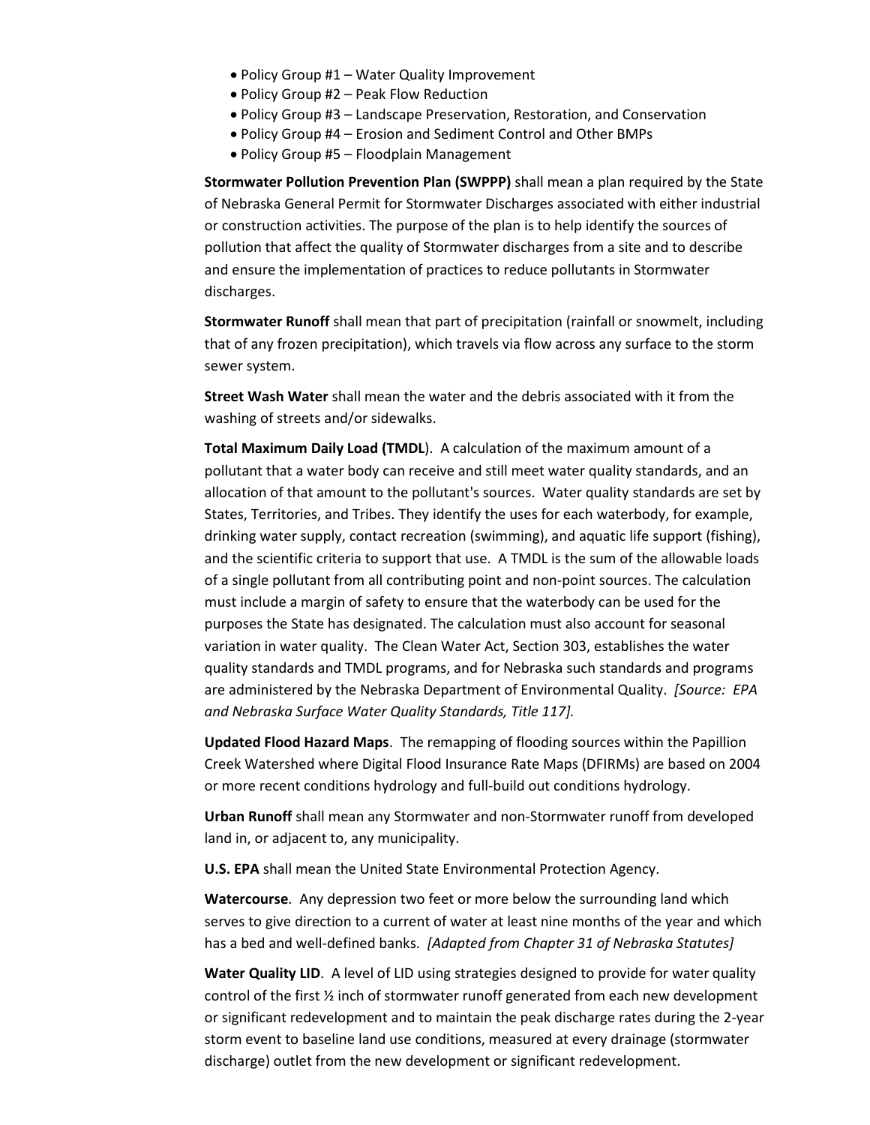- Policy Group #1 Water Quality Improvement
- Policy Group #2 Peak Flow Reduction
- Policy Group #3 Landscape Preservation, Restoration, and Conservation
- Policy Group #4 Erosion and Sediment Control and Other BMPs
- Policy Group #5 Floodplain Management

**Stormwater Pollution Prevention Plan (SWPPP)** shall mean a plan required by the State of Nebraska General Permit for Stormwater Discharges associated with either industrial or construction activities. The purpose of the plan is to help identify the sources of pollution that affect the quality of Stormwater discharges from a site and to describe and ensure the implementation of practices to reduce pollutants in Stormwater discharges.

**Stormwater Runoff** shall mean that part of precipitation (rainfall or snowmelt, including that of any frozen precipitation), which travels via flow across any surface to the storm sewer system.

**Street Wash Water** shall mean the water and the debris associated with it from the washing of streets and/or sidewalks.

**Total Maximum Daily Load (TMDL**). A calculation of the maximum amount of a pollutant that a water body can receive and still meet water quality standards, and an allocation of that amount to the pollutant's sources. Water quality standards are set by States, Territories, and Tribes. They identify the uses for each waterbody, for example, drinking water supply, contact recreation (swimming), and aquatic life support (fishing), and the scientific criteria to support that use. A TMDL is the sum of the allowable loads of a single pollutant from all contributing point and non-point sources. The calculation must include a margin of safety to ensure that the waterbody can be used for the purposes the State has designated. The calculation must also account for seasonal variation in water quality. The Clean Water Act, Section 303, establishes the water quality standards and TMDL programs, and for Nebraska such standards and programs are administered by the Nebraska Department of Environmental Quality. *[Source: EPA and Nebraska Surface Water Quality Standards, Title 117].*

**Updated Flood Hazard Maps**. The remapping of flooding sources within the Papillion Creek Watershed where Digital Flood Insurance Rate Maps (DFIRMs) are based on 2004 or more recent conditions hydrology and full-build out conditions hydrology.

**Urban Runoff** shall mean any Stormwater and non-Stormwater runoff from developed land in, or adjacent to, any municipality.

**U.S. EPA** shall mean the United State Environmental Protection Agency.

**Watercourse**. Any depression two feet or more below the surrounding land which serves to give direction to a current of water at least nine months of the year and which has a bed and well-defined banks. *[Adapted from Chapter 31 of Nebraska Statutes]*

**Water Quality LID**. A level of LID using strategies designed to provide for water quality control of the first  $\frac{1}{2}$  inch of stormwater runoff generated from each new development or significant redevelopment and to maintain the peak discharge rates during the 2-year storm event to baseline land use conditions, measured at every drainage (stormwater discharge) outlet from the new development or significant redevelopment.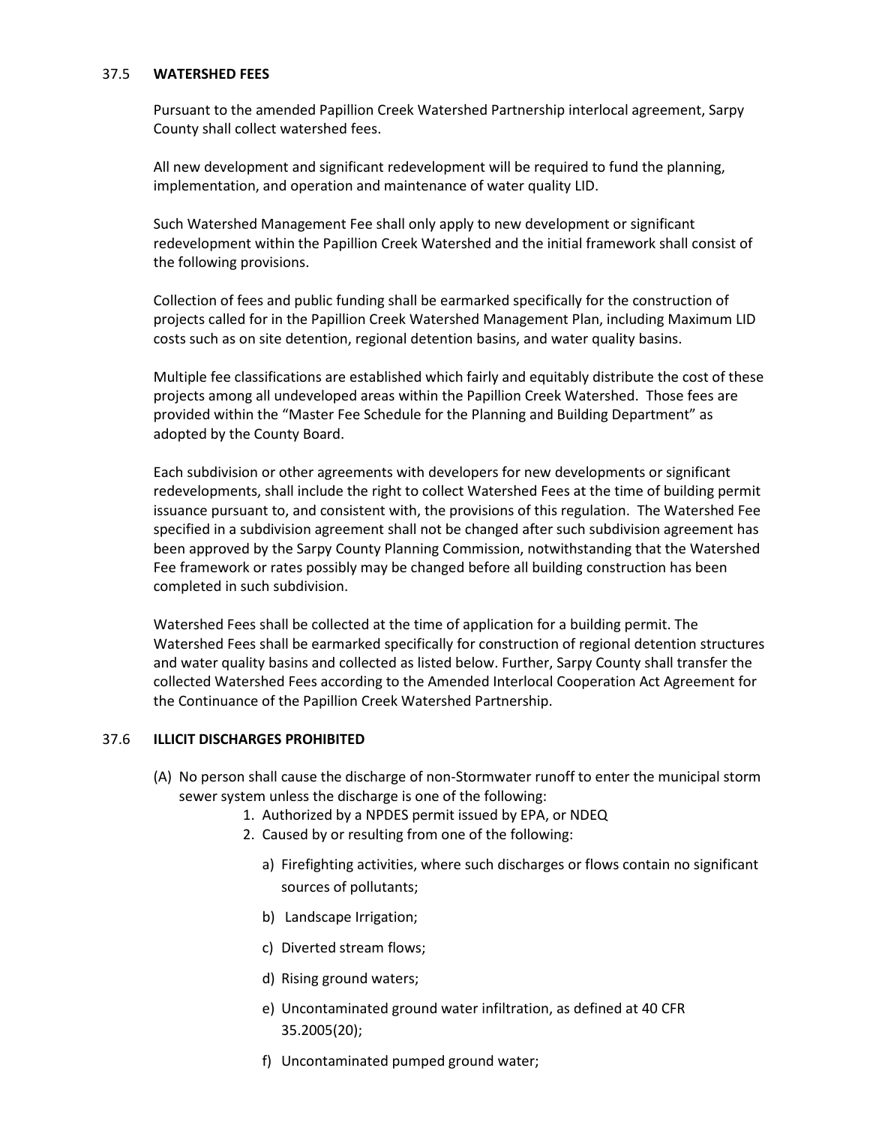#### 37.5 **WATERSHED FEES**

Pursuant to the amended Papillion Creek Watershed Partnership interlocal agreement, Sarpy County shall collect watershed fees.

All new development and significant redevelopment will be required to fund the planning, implementation, and operation and maintenance of water quality LID.

Such Watershed Management Fee shall only apply to new development or significant redevelopment within the Papillion Creek Watershed and the initial framework shall consist of the following provisions.

Collection of fees and public funding shall be earmarked specifically for the construction of projects called for in the Papillion Creek Watershed Management Plan, including Maximum LID costs such as on site detention, regional detention basins, and water quality basins.

Multiple fee classifications are established which fairly and equitably distribute the cost of these projects among all undeveloped areas within the Papillion Creek Watershed. Those fees are provided within the "Master Fee Schedule for the Planning and Building Department" as adopted by the County Board.

Each subdivision or other agreements with developers for new developments or significant redevelopments, shall include the right to collect Watershed Fees at the time of building permit issuance pursuant to, and consistent with, the provisions of this regulation. The Watershed Fee specified in a subdivision agreement shall not be changed after such subdivision agreement has been approved by the Sarpy County Planning Commission, notwithstanding that the Watershed Fee framework or rates possibly may be changed before all building construction has been completed in such subdivision.

Watershed Fees shall be collected at the time of application for a building permit. The Watershed Fees shall be earmarked specifically for construction of regional detention structures and water quality basins and collected as listed below. Further, Sarpy County shall transfer the collected Watershed Fees according to the Amended Interlocal Cooperation Act Agreement for the Continuance of the Papillion Creek Watershed Partnership.

#### 37.6 **ILLICIT DISCHARGES PROHIBITED**

- (A) No person shall cause the discharge of non-Stormwater runoff to enter the municipal storm sewer system unless the discharge is one of the following:
	- 1. Authorized by a NPDES permit issued by EPA, or NDEQ
	- 2. Caused by or resulting from one of the following:
		- a) Firefighting activities, where such discharges or flows contain no significant sources of pollutants;
		- b) Landscape Irrigation;
		- c) Diverted stream flows;
		- d) Rising ground waters;
		- e) Uncontaminated ground water infiltration, as defined at 40 CFR 35.2005(20);
		- f) Uncontaminated pumped ground water;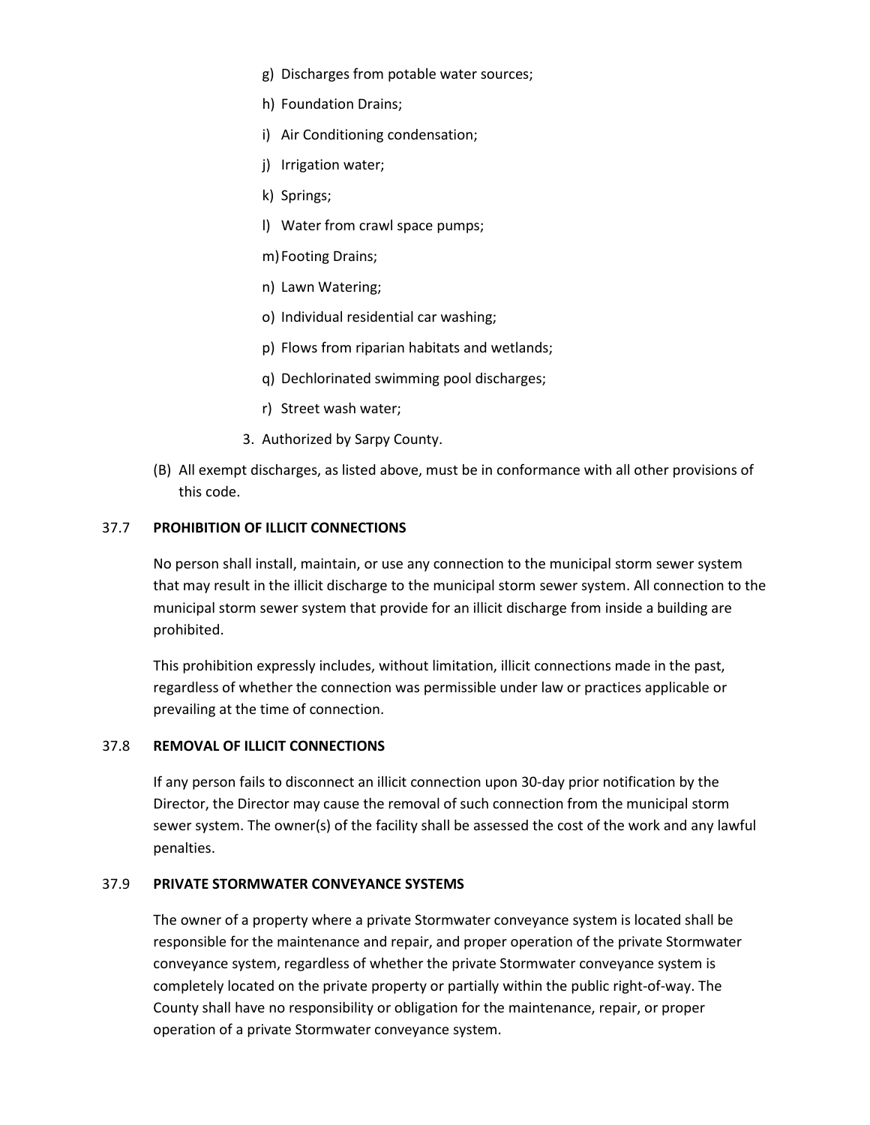- g) Discharges from potable water sources;
- h) Foundation Drains;
- i) Air Conditioning condensation;
- j) Irrigation water;
- k) Springs;
- l) Water from crawl space pumps;
- m)Footing Drains;
- n) Lawn Watering;
- o) Individual residential car washing;
- p) Flows from riparian habitats and wetlands;
- q) Dechlorinated swimming pool discharges;
- r) Street wash water;
- 3. Authorized by Sarpy County.
- (B) All exempt discharges, as listed above, must be in conformance with all other provisions of this code.

# 37.7 **PROHIBITION OF ILLICIT CONNECTIONS**

No person shall install, maintain, or use any connection to the municipal storm sewer system that may result in the illicit discharge to the municipal storm sewer system. All connection to the municipal storm sewer system that provide for an illicit discharge from inside a building are prohibited.

This prohibition expressly includes, without limitation, illicit connections made in the past, regardless of whether the connection was permissible under law or practices applicable or prevailing at the time of connection.

# 37.8 **REMOVAL OF ILLICIT CONNECTIONS**

If any person fails to disconnect an illicit connection upon 30-day prior notification by the Director, the Director may cause the removal of such connection from the municipal storm sewer system. The owner(s) of the facility shall be assessed the cost of the work and any lawful penalties.

# 37.9 **PRIVATE STORMWATER CONVEYANCE SYSTEMS**

The owner of a property where a private Stormwater conveyance system is located shall be responsible for the maintenance and repair, and proper operation of the private Stormwater conveyance system, regardless of whether the private Stormwater conveyance system is completely located on the private property or partially within the public right-of-way. The County shall have no responsibility or obligation for the maintenance, repair, or proper operation of a private Stormwater conveyance system.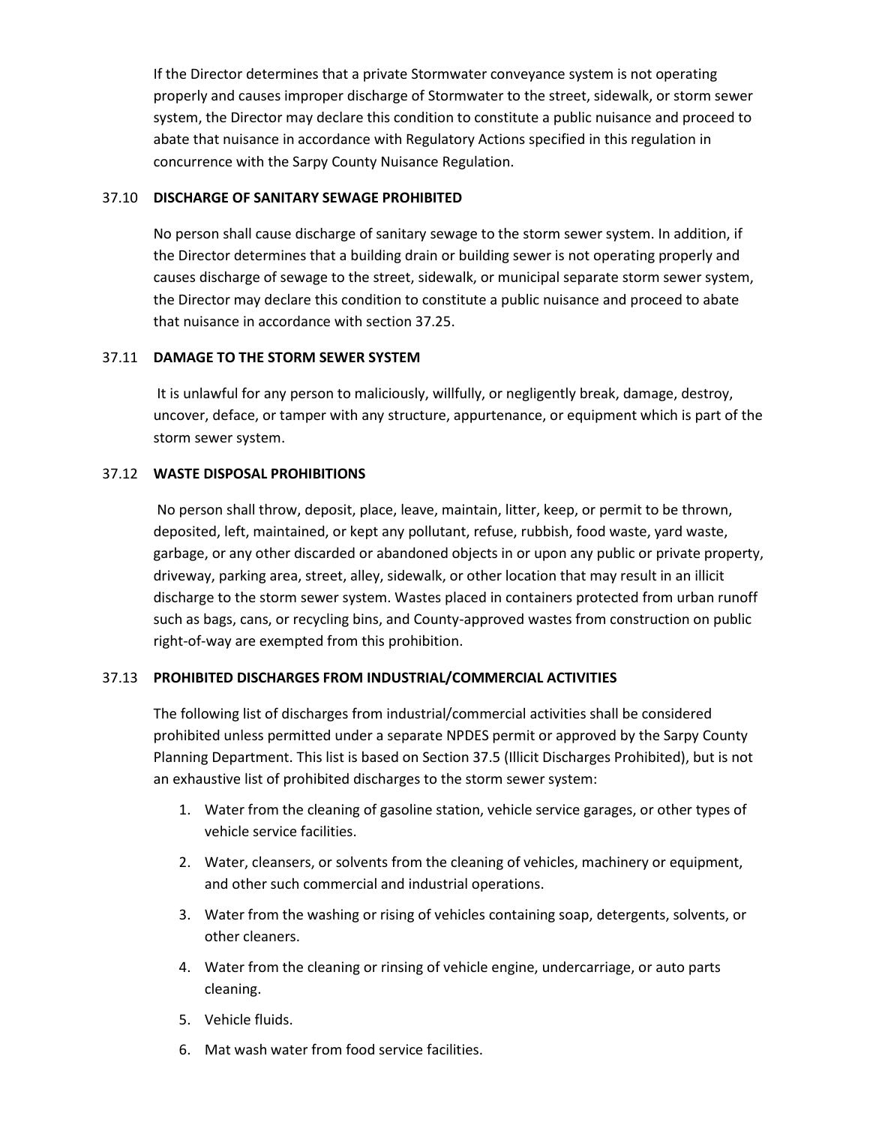If the Director determines that a private Stormwater conveyance system is not operating properly and causes improper discharge of Stormwater to the street, sidewalk, or storm sewer system, the Director may declare this condition to constitute a public nuisance and proceed to abate that nuisance in accordance with Regulatory Actions specified in this regulation in concurrence with the Sarpy County Nuisance Regulation.

#### 37.10 **DISCHARGE OF SANITARY SEWAGE PROHIBITED**

No person shall cause discharge of sanitary sewage to the storm sewer system. In addition, if the Director determines that a building drain or building sewer is not operating properly and causes discharge of sewage to the street, sidewalk, or municipal separate storm sewer system, the Director may declare this condition to constitute a public nuisance and proceed to abate that nuisance in accordance with section 37.25.

#### 37.11 **DAMAGE TO THE STORM SEWER SYSTEM**

It is unlawful for any person to maliciously, willfully, or negligently break, damage, destroy, uncover, deface, or tamper with any structure, appurtenance, or equipment which is part of the storm sewer system.

# 37.12 **WASTE DISPOSAL PROHIBITIONS**

No person shall throw, deposit, place, leave, maintain, litter, keep, or permit to be thrown, deposited, left, maintained, or kept any pollutant, refuse, rubbish, food waste, yard waste, garbage, or any other discarded or abandoned objects in or upon any public or private property, driveway, parking area, street, alley, sidewalk, or other location that may result in an illicit discharge to the storm sewer system. Wastes placed in containers protected from urban runoff such as bags, cans, or recycling bins, and County-approved wastes from construction on public right-of-way are exempted from this prohibition.

# 37.13 **PROHIBITED DISCHARGES FROM INDUSTRIAL/COMMERCIAL ACTIVITIES**

The following list of discharges from industrial/commercial activities shall be considered prohibited unless permitted under a separate NPDES permit or approved by the Sarpy County Planning Department. This list is based on Section 37.5 (Illicit Discharges Prohibited), but is not an exhaustive list of prohibited discharges to the storm sewer system:

- 1. Water from the cleaning of gasoline station, vehicle service garages, or other types of vehicle service facilities.
- 2. Water, cleansers, or solvents from the cleaning of vehicles, machinery or equipment, and other such commercial and industrial operations.
- 3. Water from the washing or rising of vehicles containing soap, detergents, solvents, or other cleaners.
- 4. Water from the cleaning or rinsing of vehicle engine, undercarriage, or auto parts cleaning.
- 5. Vehicle fluids.
- 6. Mat wash water from food service facilities.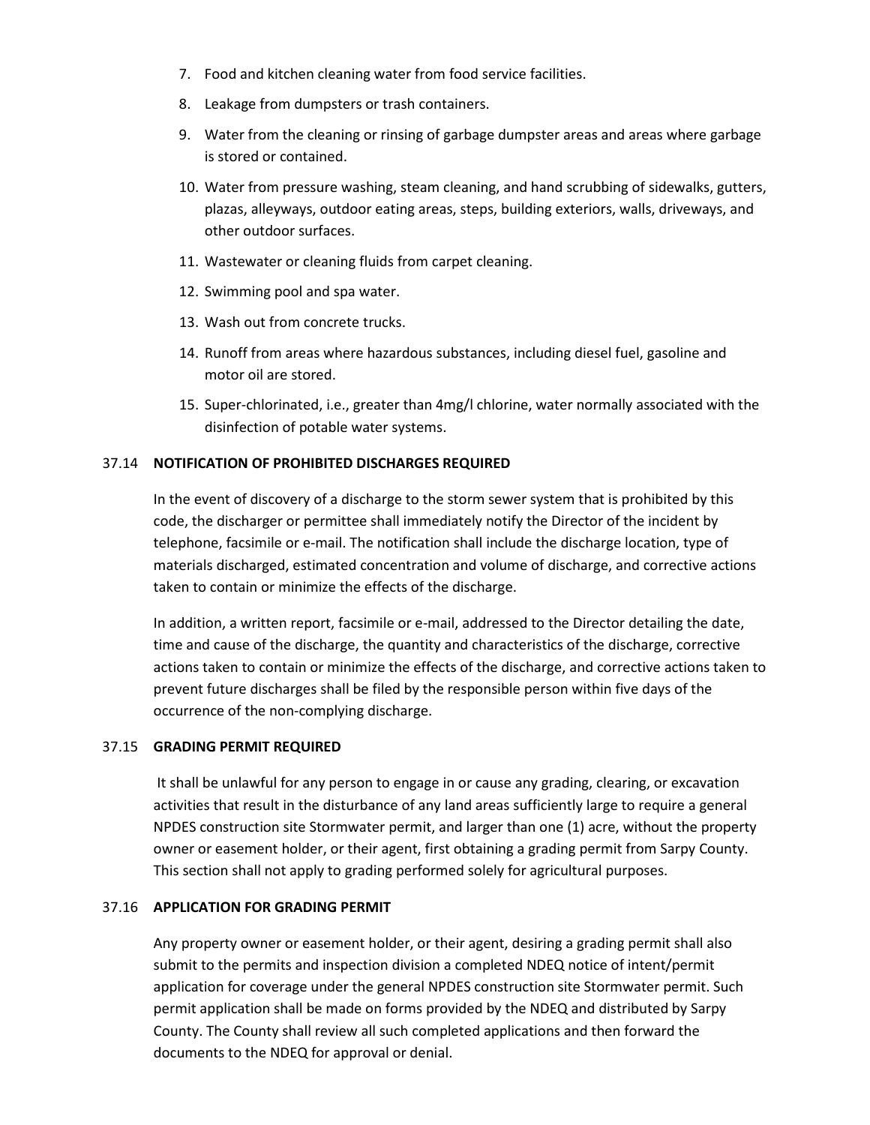- 7. Food and kitchen cleaning water from food service facilities.
- 8. Leakage from dumpsters or trash containers.
- 9. Water from the cleaning or rinsing of garbage dumpster areas and areas where garbage is stored or contained.
- 10. Water from pressure washing, steam cleaning, and hand scrubbing of sidewalks, gutters, plazas, alleyways, outdoor eating areas, steps, building exteriors, walls, driveways, and other outdoor surfaces.
- 11. Wastewater or cleaning fluids from carpet cleaning.
- 12. Swimming pool and spa water.
- 13. Wash out from concrete trucks.
- 14. Runoff from areas where hazardous substances, including diesel fuel, gasoline and motor oil are stored.
- 15. Super-chlorinated, i.e., greater than 4mg/l chlorine, water normally associated with the disinfection of potable water systems.

# 37.14 **NOTIFICATION OF PROHIBITED DISCHARGES REQUIRED**

In the event of discovery of a discharge to the storm sewer system that is prohibited by this code, the discharger or permittee shall immediately notify the Director of the incident by telephone, facsimile or e-mail. The notification shall include the discharge location, type of materials discharged, estimated concentration and volume of discharge, and corrective actions taken to contain or minimize the effects of the discharge.

In addition, a written report, facsimile or e-mail, addressed to the Director detailing the date, time and cause of the discharge, the quantity and characteristics of the discharge, corrective actions taken to contain or minimize the effects of the discharge, and corrective actions taken to prevent future discharges shall be filed by the responsible person within five days of the occurrence of the non-complying discharge.

#### 37.15 **GRADING PERMIT REQUIRED**

It shall be unlawful for any person to engage in or cause any grading, clearing, or excavation activities that result in the disturbance of any land areas sufficiently large to require a general NPDES construction site Stormwater permit, and larger than one (1) acre, without the property owner or easement holder, or their agent, first obtaining a grading permit from Sarpy County. This section shall not apply to grading performed solely for agricultural purposes.

# 37.16 **APPLICATION FOR GRADING PERMIT**

Any property owner or easement holder, or their agent, desiring a grading permit shall also submit to the permits and inspection division a completed NDEQ notice of intent/permit application for coverage under the general NPDES construction site Stormwater permit. Such permit application shall be made on forms provided by the NDEQ and distributed by Sarpy County. The County shall review all such completed applications and then forward the documents to the NDEQ for approval or denial.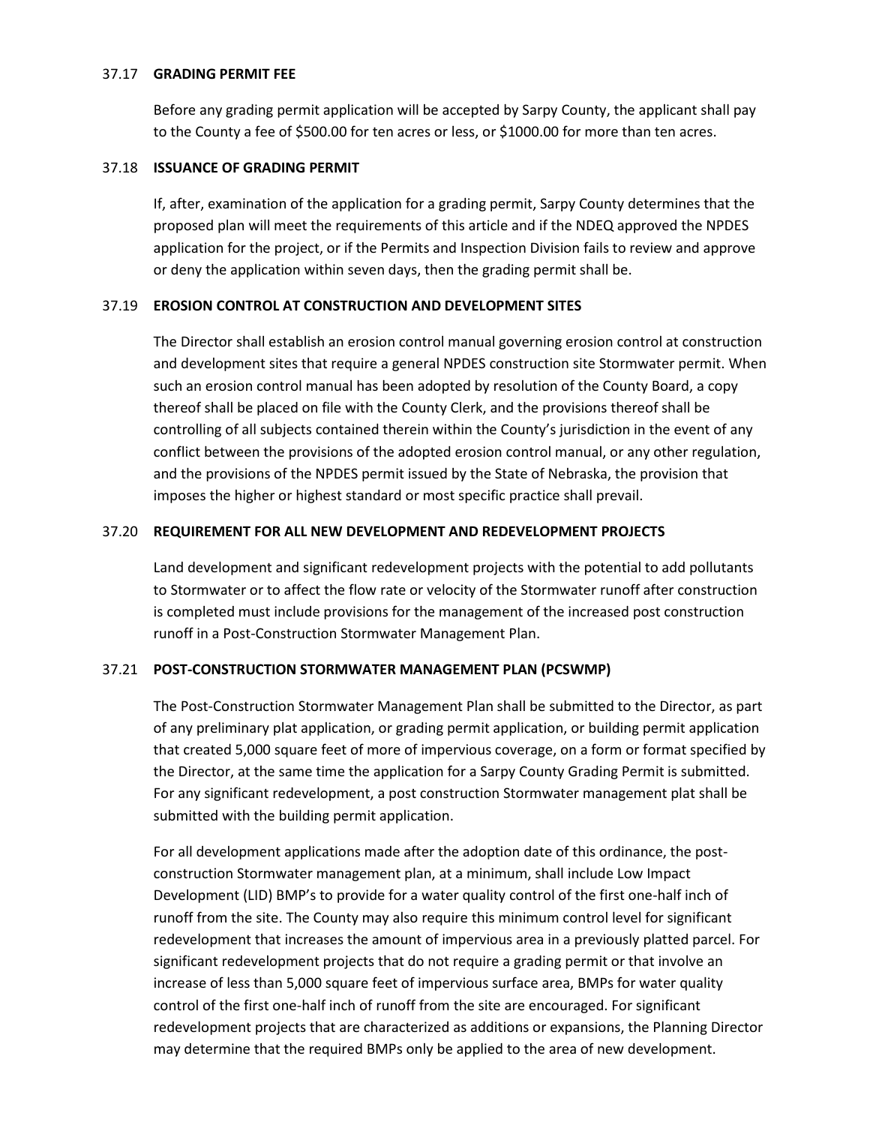#### 37.17 **GRADING PERMIT FEE**

Before any grading permit application will be accepted by Sarpy County, the applicant shall pay to the County a fee of \$500.00 for ten acres or less, or \$1000.00 for more than ten acres.

# 37.18 **ISSUANCE OF GRADING PERMIT**

If, after, examination of the application for a grading permit, Sarpy County determines that the proposed plan will meet the requirements of this article and if the NDEQ approved the NPDES application for the project, or if the Permits and Inspection Division fails to review and approve or deny the application within seven days, then the grading permit shall be.

# 37.19 **EROSION CONTROL AT CONSTRUCTION AND DEVELOPMENT SITES**

The Director shall establish an erosion control manual governing erosion control at construction and development sites that require a general NPDES construction site Stormwater permit. When such an erosion control manual has been adopted by resolution of the County Board, a copy thereof shall be placed on file with the County Clerk, and the provisions thereof shall be controlling of all subjects contained therein within the County's jurisdiction in the event of any conflict between the provisions of the adopted erosion control manual, or any other regulation, and the provisions of the NPDES permit issued by the State of Nebraska, the provision that imposes the higher or highest standard or most specific practice shall prevail.

# 37.20 **REQUIREMENT FOR ALL NEW DEVELOPMENT AND REDEVELOPMENT PROJECTS**

Land development and significant redevelopment projects with the potential to add pollutants to Stormwater or to affect the flow rate or velocity of the Stormwater runoff after construction is completed must include provisions for the management of the increased post construction runoff in a Post-Construction Stormwater Management Plan.

# 37.21 **POST-CONSTRUCTION STORMWATER MANAGEMENT PLAN (PCSWMP)**

The Post-Construction Stormwater Management Plan shall be submitted to the Director, as part of any preliminary plat application, or grading permit application, or building permit application that created 5,000 square feet of more of impervious coverage, on a form or format specified by the Director, at the same time the application for a Sarpy County Grading Permit is submitted. For any significant redevelopment, a post construction Stormwater management plat shall be submitted with the building permit application.

For all development applications made after the adoption date of this ordinance, the postconstruction Stormwater management plan, at a minimum, shall include Low Impact Development (LID) BMP's to provide for a water quality control of the first one-half inch of runoff from the site. The County may also require this minimum control level for significant redevelopment that increases the amount of impervious area in a previously platted parcel. For significant redevelopment projects that do not require a grading permit or that involve an increase of less than 5,000 square feet of impervious surface area, BMPs for water quality control of the first one-half inch of runoff from the site are encouraged. For significant redevelopment projects that are characterized as additions or expansions, the Planning Director may determine that the required BMPs only be applied to the area of new development.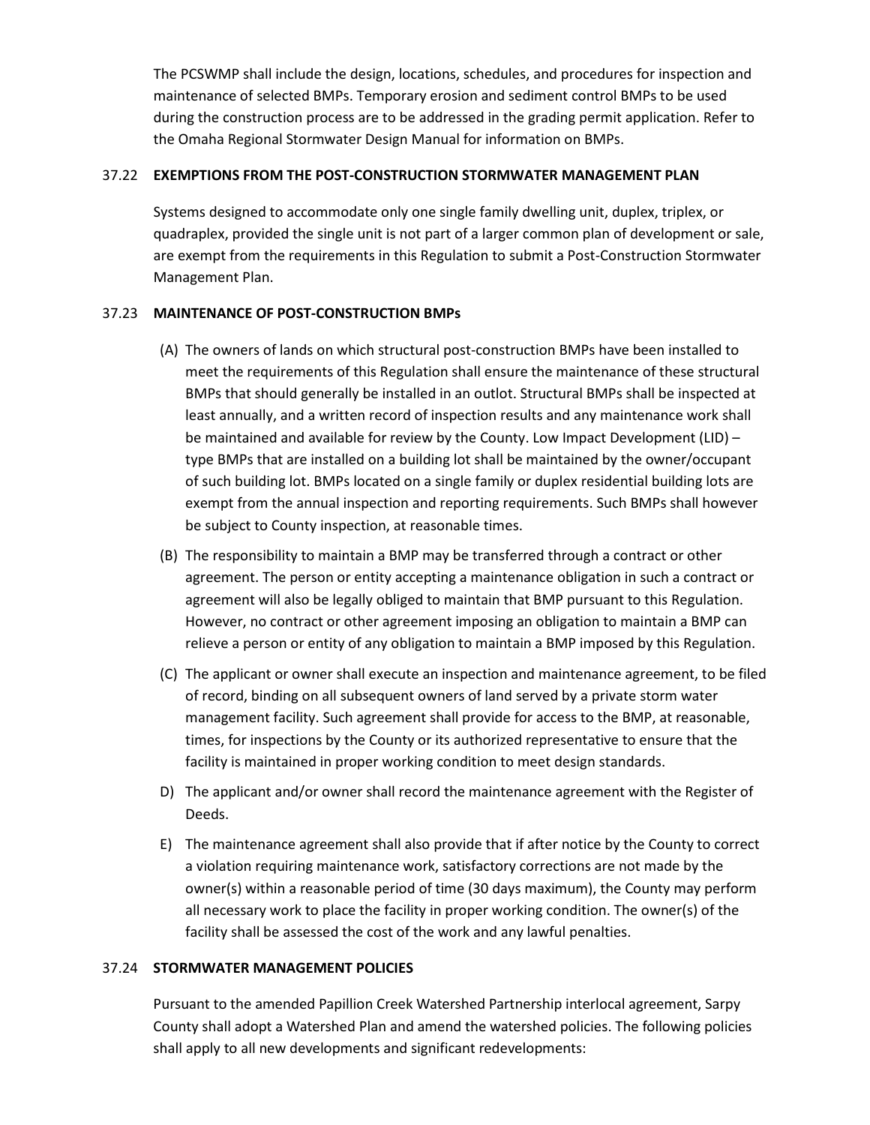The PCSWMP shall include the design, locations, schedules, and procedures for inspection and maintenance of selected BMPs. Temporary erosion and sediment control BMPs to be used during the construction process are to be addressed in the grading permit application. Refer to the Omaha Regional Stormwater Design Manual for information on BMPs.

# 37.22 **EXEMPTIONS FROM THE POST-CONSTRUCTION STORMWATER MANAGEMENT PLAN**

Systems designed to accommodate only one single family dwelling unit, duplex, triplex, or quadraplex, provided the single unit is not part of a larger common plan of development or sale, are exempt from the requirements in this Regulation to submit a Post-Construction Stormwater Management Plan.

# 37.23 **MAINTENANCE OF POST-CONSTRUCTION BMPs**

- (A) The owners of lands on which structural post-construction BMPs have been installed to meet the requirements of this Regulation shall ensure the maintenance of these structural BMPs that should generally be installed in an outlot. Structural BMPs shall be inspected at least annually, and a written record of inspection results and any maintenance work shall be maintained and available for review by the County. Low Impact Development (LID) – type BMPs that are installed on a building lot shall be maintained by the owner/occupant of such building lot. BMPs located on a single family or duplex residential building lots are exempt from the annual inspection and reporting requirements. Such BMPs shall however be subject to County inspection, at reasonable times.
- (B) The responsibility to maintain a BMP may be transferred through a contract or other agreement. The person or entity accepting a maintenance obligation in such a contract or agreement will also be legally obliged to maintain that BMP pursuant to this Regulation. However, no contract or other agreement imposing an obligation to maintain a BMP can relieve a person or entity of any obligation to maintain a BMP imposed by this Regulation.
- (C) The applicant or owner shall execute an inspection and maintenance agreement, to be filed of record, binding on all subsequent owners of land served by a private storm water management facility. Such agreement shall provide for access to the BMP, at reasonable, times, for inspections by the County or its authorized representative to ensure that the facility is maintained in proper working condition to meet design standards.
- D) The applicant and/or owner shall record the maintenance agreement with the Register of Deeds.
- E) The maintenance agreement shall also provide that if after notice by the County to correct a violation requiring maintenance work, satisfactory corrections are not made by the owner(s) within a reasonable period of time (30 days maximum), the County may perform all necessary work to place the facility in proper working condition. The owner(s) of the facility shall be assessed the cost of the work and any lawful penalties.

#### 37.24 **STORMWATER MANAGEMENT POLICIES**

Pursuant to the amended Papillion Creek Watershed Partnership interlocal agreement, Sarpy County shall adopt a Watershed Plan and amend the watershed policies. The following policies shall apply to all new developments and significant redevelopments: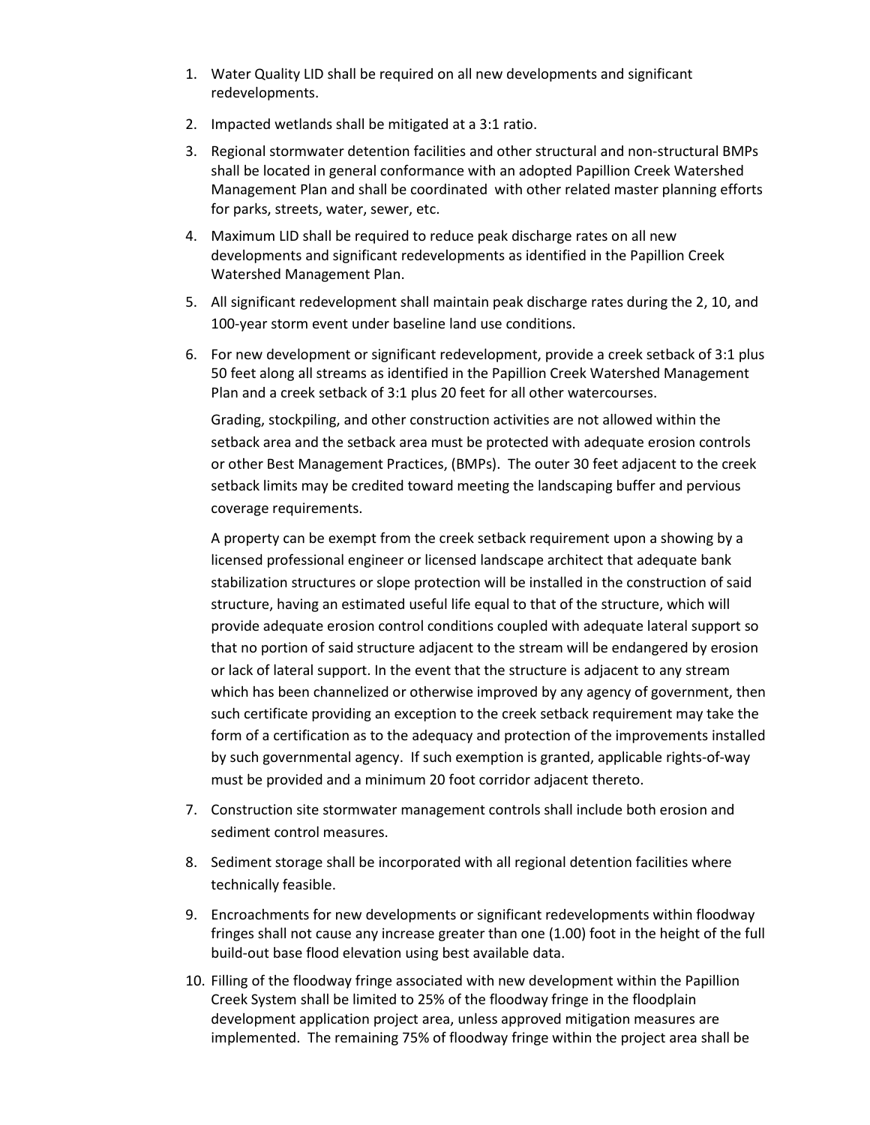- 1. Water Quality LID shall be required on all new developments and significant redevelopments.
- 2. Impacted wetlands shall be mitigated at a 3:1 ratio.
- 3. Regional stormwater detention facilities and other structural and non-structural BMPs shall be located in general conformance with an adopted Papillion Creek Watershed Management Plan and shall be coordinated with other related master planning efforts for parks, streets, water, sewer, etc.
- 4. Maximum LID shall be required to reduce peak discharge rates on all new developments and significant redevelopments as identified in the Papillion Creek Watershed Management Plan.
- 5. All significant redevelopment shall maintain peak discharge rates during the 2, 10, and 100-year storm event under baseline land use conditions.
- 6. For new development or significant redevelopment, provide a creek setback of 3:1 plus 50 feet along all streams as identified in the Papillion Creek Watershed Management Plan and a creek setback of 3:1 plus 20 feet for all other watercourses.

Grading, stockpiling, and other construction activities are not allowed within the setback area and the setback area must be protected with adequate erosion controls or other Best Management Practices, (BMPs). The outer 30 feet adjacent to the creek setback limits may be credited toward meeting the landscaping buffer and pervious coverage requirements.

A property can be exempt from the creek setback requirement upon a showing by a licensed professional engineer or licensed landscape architect that adequate bank stabilization structures or slope protection will be installed in the construction of said structure, having an estimated useful life equal to that of the structure, which will provide adequate erosion control conditions coupled with adequate lateral support so that no portion of said structure adjacent to the stream will be endangered by erosion or lack of lateral support. In the event that the structure is adjacent to any stream which has been channelized or otherwise improved by any agency of government, then such certificate providing an exception to the creek setback requirement may take the form of a certification as to the adequacy and protection of the improvements installed by such governmental agency. If such exemption is granted, applicable rights-of-way must be provided and a minimum 20 foot corridor adjacent thereto.

- 7. Construction site stormwater management controls shall include both erosion and sediment control measures.
- 8. Sediment storage shall be incorporated with all regional detention facilities where technically feasible.
- 9. Encroachments for new developments or significant redevelopments within floodway fringes shall not cause any increase greater than one (1.00) foot in the height of the full build-out base flood elevation using best available data.
- 10. Filling of the floodway fringe associated with new development within the Papillion Creek System shall be limited to 25% of the floodway fringe in the floodplain development application project area, unless approved mitigation measures are implemented. The remaining 75% of floodway fringe within the project area shall be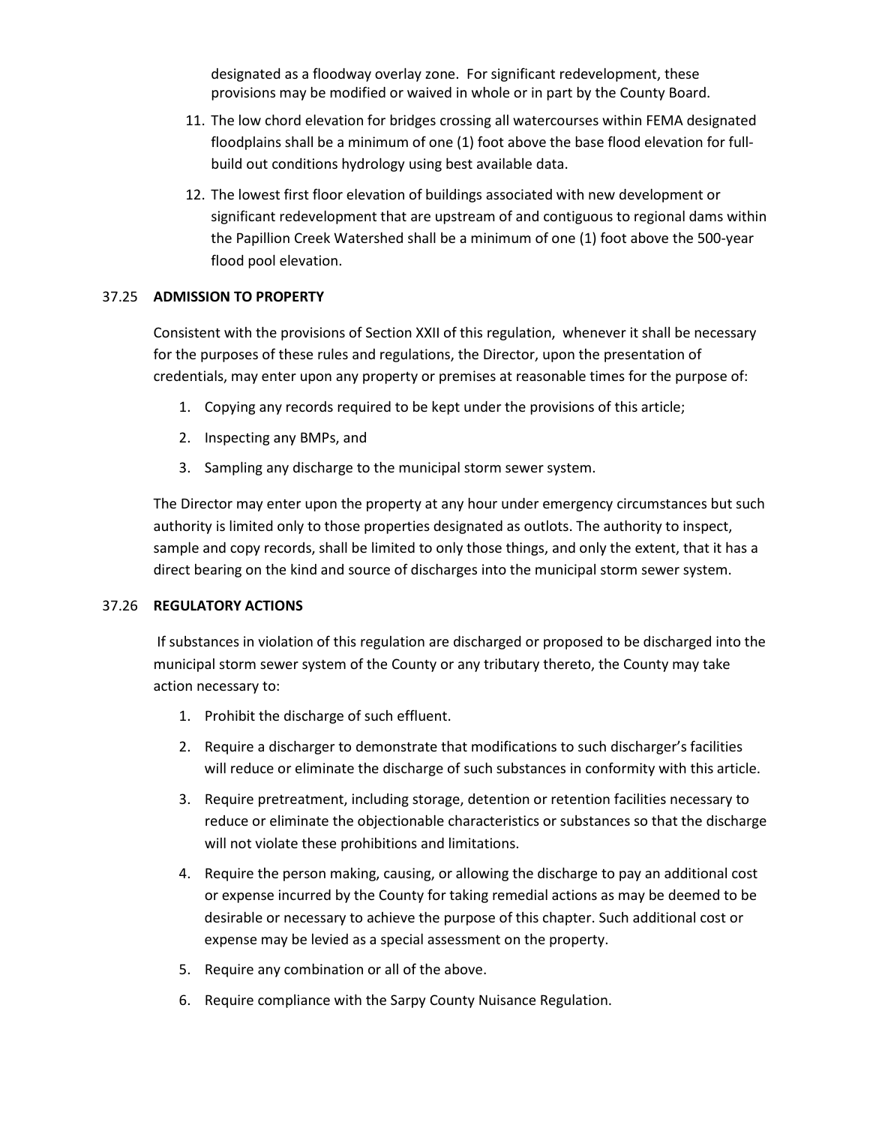designated as a floodway overlay zone. For significant redevelopment, these provisions may be modified or waived in whole or in part by the County Board.

- 11. The low chord elevation for bridges crossing all watercourses within FEMA designated floodplains shall be a minimum of one (1) foot above the base flood elevation for fullbuild out conditions hydrology using best available data.
- 12. The lowest first floor elevation of buildings associated with new development or significant redevelopment that are upstream of and contiguous to regional dams within the Papillion Creek Watershed shall be a minimum of one (1) foot above the 500-year flood pool elevation.

# 37.25 **ADMISSION TO PROPERTY**

Consistent with the provisions of Section XXII of this regulation, whenever it shall be necessary for the purposes of these rules and regulations, the Director, upon the presentation of credentials, may enter upon any property or premises at reasonable times for the purpose of:

- 1. Copying any records required to be kept under the provisions of this article;
- 2. Inspecting any BMPs, and
- 3. Sampling any discharge to the municipal storm sewer system.

The Director may enter upon the property at any hour under emergency circumstances but such authority is limited only to those properties designated as outlots. The authority to inspect, sample and copy records, shall be limited to only those things, and only the extent, that it has a direct bearing on the kind and source of discharges into the municipal storm sewer system.

#### 37.26 **REGULATORY ACTIONS**

If substances in violation of this regulation are discharged or proposed to be discharged into the municipal storm sewer system of the County or any tributary thereto, the County may take action necessary to:

- 1. Prohibit the discharge of such effluent.
- 2. Require a discharger to demonstrate that modifications to such discharger's facilities will reduce or eliminate the discharge of such substances in conformity with this article.
- 3. Require pretreatment, including storage, detention or retention facilities necessary to reduce or eliminate the objectionable characteristics or substances so that the discharge will not violate these prohibitions and limitations.
- 4. Require the person making, causing, or allowing the discharge to pay an additional cost or expense incurred by the County for taking remedial actions as may be deemed to be desirable or necessary to achieve the purpose of this chapter. Such additional cost or expense may be levied as a special assessment on the property.
- 5. Require any combination or all of the above.
- 6. Require compliance with the Sarpy County Nuisance Regulation.